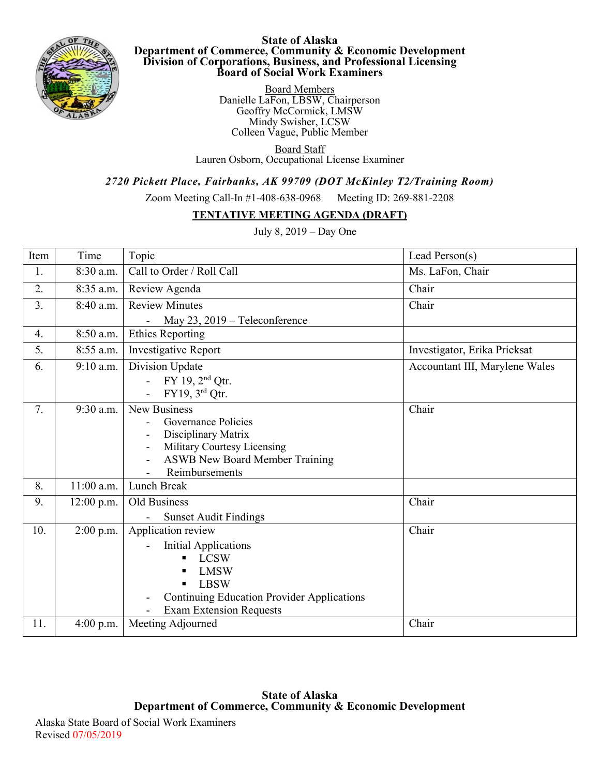

**State of Alaska Department of Commerce, Community & Economic Development Division of Corporations, Business, and Professional Licensing Board of Social Work Examiners**

> Board Members Danielle LaFon, LBSW, Chairperson Geoffry McCormick, LMSW Mindy Swisher, LCSW Colleen Vague, Public Member.

Board Staff Lauren Osborn, Occupational License Examiner

*2720 Pickett Place, Fairbanks, AK 99709 (DOT McKinley T2/Training Room)*

Zoom Meeting Call-In #1-408-638-0968 Meeting ID: 269-881-2208

## **TENTATIVE MEETING AGENDA (DRAFT)**

July 8, 2019 – Day One

| Item | Time         | Topic                                                   | Lead Person(s)                 |
|------|--------------|---------------------------------------------------------|--------------------------------|
| 1.   | 8:30 a.m.    | Call to Order / Roll Call                               | Ms. LaFon, Chair               |
| 2.   | 8:35 a.m.    | Review Agenda                                           | Chair                          |
| 3.   | 8:40 a.m.    | <b>Review Minutes</b>                                   | Chair                          |
|      |              | May 23, 2019 - Teleconference                           |                                |
| 4.   | 8:50 a.m.    | <b>Ethics Reporting</b>                                 |                                |
| 5.   | 8:55 a.m.    | Investigative Report                                    | Investigator, Erika Prieksat   |
| 6.   | $9:10$ a.m.  | Division Update                                         | Accountant III, Marylene Wales |
|      |              | $FY$ 19, $2nd$ Qtr.                                     |                                |
|      |              | FY19, 3 <sup>rd</sup> Qtr.<br>$\mathbb{Z}^{\mathbb{Z}}$ |                                |
| 7.   | 9:30 a.m.    | New Business                                            | Chair                          |
|      |              | Governance Policies                                     |                                |
|      |              | Disciplinary Matrix                                     |                                |
|      |              | Military Courtesy Licensing                             |                                |
|      |              | ASWB New Board Member Training                          |                                |
|      |              | Reimbursements                                          |                                |
| 8.   | 11:00 a.m.   | Lunch Break                                             |                                |
| 9.   | $12:00$ p.m. | Old Business                                            | Chair                          |
|      |              | <b>Sunset Audit Findings</b>                            |                                |
| 10.  | $2:00$ p.m.  | Application review                                      | Chair                          |
|      |              | <b>Initial Applications</b>                             |                                |
|      |              | <b>LCSW</b>                                             |                                |
|      |              | <b>LMSW</b>                                             |                                |
|      |              | <b>LBSW</b>                                             |                                |
|      |              | <b>Continuing Education Provider Applications</b>       |                                |
|      |              | <b>Exam Extension Requests</b>                          |                                |
| 11.  | $4:00$ p.m.  | Meeting Adjourned                                       | Chair                          |